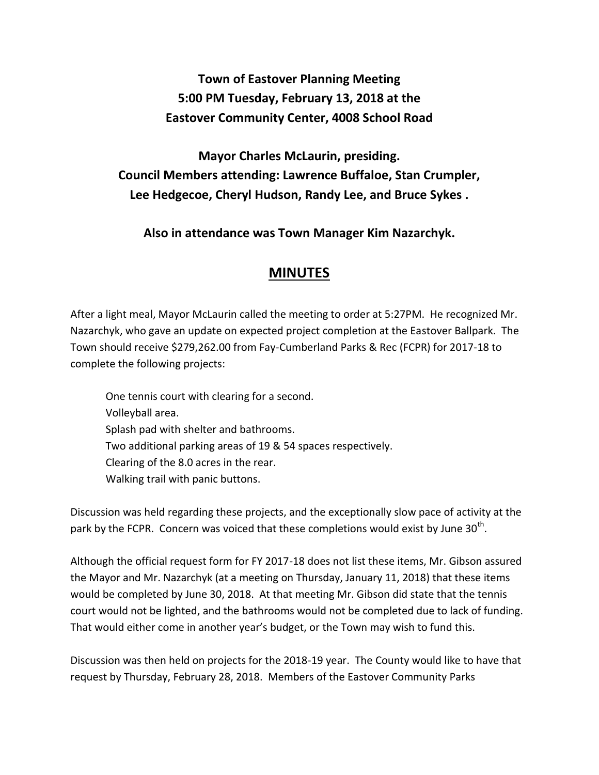## **Town of Eastover Planning Meeting 5:00 PM Tuesday, February 13, 2018 at the Eastover Community Center, 4008 School Road**

**Mayor Charles McLaurin, presiding. Council Members attending: Lawrence Buffaloe, Stan Crumpler, Lee Hedgecoe, Cheryl Hudson, Randy Lee, and Bruce Sykes .** 

**Also in attendance was Town Manager Kim Nazarchyk.**

## **MINUTES**

After a light meal, Mayor McLaurin called the meeting to order at 5:27PM. He recognized Mr. Nazarchyk, who gave an update on expected project completion at the Eastover Ballpark. The Town should receive \$279,262.00 from Fay-Cumberland Parks & Rec (FCPR) for 2017-18 to complete the following projects:

One tennis court with clearing for a second. Volleyball area. Splash pad with shelter and bathrooms. Two additional parking areas of 19 & 54 spaces respectively. Clearing of the 8.0 acres in the rear. Walking trail with panic buttons.

Discussion was held regarding these projects, and the exceptionally slow pace of activity at the park by the FCPR. Concern was voiced that these completions would exist by June 30<sup>th</sup>.

Although the official request form for FY 2017-18 does not list these items, Mr. Gibson assured the Mayor and Mr. Nazarchyk (at a meeting on Thursday, January 11, 2018) that these items would be completed by June 30, 2018. At that meeting Mr. Gibson did state that the tennis court would not be lighted, and the bathrooms would not be completed due to lack of funding. That would either come in another year's budget, or the Town may wish to fund this.

Discussion was then held on projects for the 2018-19 year. The County would like to have that request by Thursday, February 28, 2018. Members of the Eastover Community Parks